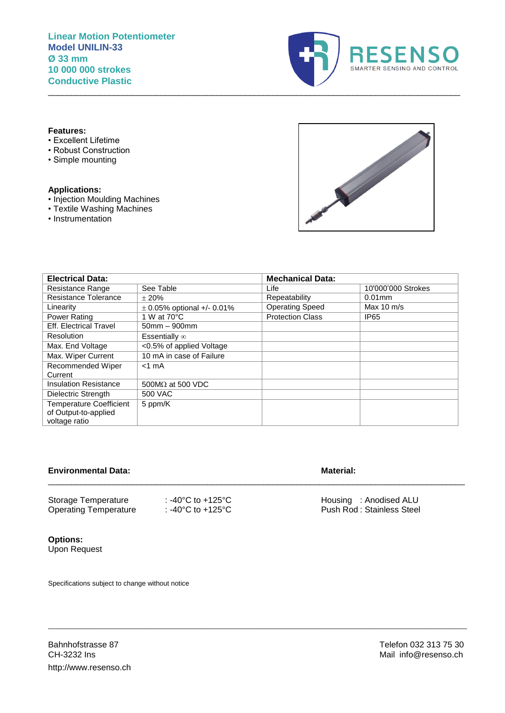

#### **Features:**

- Excellent Lifetime
- Robust Construction
- Simple mounting

#### **Applications:**

- Injection Moulding Machines
- Textile Washing Machines
- Instrumentation



| <b>Electrical Data:</b>                                                 |                                | <b>Mechanical Data:</b> |                      |
|-------------------------------------------------------------------------|--------------------------------|-------------------------|----------------------|
| <b>Resistance Range</b>                                                 | See Table                      | Life                    | 10'000'000 Strokes   |
| <b>Resistance Tolerance</b>                                             | ± 20%                          | Repeatability           | $0.01$ mm            |
| Linearity                                                               | $\pm$ 0.05% optional +/- 0.01% | <b>Operating Speed</b>  | Max $10 \text{ m/s}$ |
| Power Rating                                                            | 1 W at 70°C                    | <b>Protection Class</b> | IP65                 |
| <b>Eff. Electrical Travel</b>                                           | $50$ mm $-900$ mm              |                         |                      |
| <b>Resolution</b>                                                       | Essentially $\infty$           |                         |                      |
| Max. End Voltage                                                        | <0.5% of applied Voltage       |                         |                      |
| Max. Wiper Current                                                      | 10 mA in case of Failure       |                         |                      |
| Recommended Wiper<br>Current                                            | $<$ 1 mA                       |                         |                      |
| <b>Insulation Resistance</b>                                            | 500MΩ at 500 VDC               |                         |                      |
| Dielectric Strength                                                     | 500 VAC                        |                         |                      |
| <b>Temperature Coefficient</b><br>of Output-to-applied<br>voltage ratio | 5 ppm/K                        |                         |                      |

\_\_\_\_\_\_\_\_\_\_\_\_\_\_\_\_\_\_\_\_\_\_\_\_\_\_\_\_\_\_\_\_\_\_\_\_\_\_\_\_\_\_\_\_\_\_\_\_\_\_\_\_\_\_\_\_\_\_\_\_\_\_\_\_\_\_\_\_\_\_\_\_\_\_\_\_\_\_\_\_\_\_\_\_\_\_\_\_\_\_\_\_\_\_\_\_\_\_

\_\_\_\_\_\_\_\_\_\_\_\_\_\_\_\_\_\_\_\_\_\_\_\_\_\_\_\_\_\_\_\_\_\_\_\_\_\_\_\_\_\_\_\_\_\_\_\_\_\_\_\_\_\_\_\_\_\_\_\_\_\_\_\_\_\_\_\_\_\_\_\_\_\_\_\_\_\_\_\_\_\_\_\_\_\_\_\_\_

 $\_$  , and the set of the set of the set of the set of the set of the set of the set of the set of the set of the set of the set of the set of the set of the set of the set of the set of the set of the set of the set of th

#### **Environmental Data: Material: Material: Material: Material: Material: Material: Material: Material: Material: Material: Material: Material: Material: Material: Material: Material: Materia**

| Storage Temperature          | : -40°C to +125°C               | Housing : Anodised ALU     |
|------------------------------|---------------------------------|----------------------------|
| <b>Operating Temperature</b> | $\cdot$ -40°C to +125°C $\cdot$ | Push Rod : Stainless Steel |

## **Options:** Upon Request

Specifications subject to change without notice